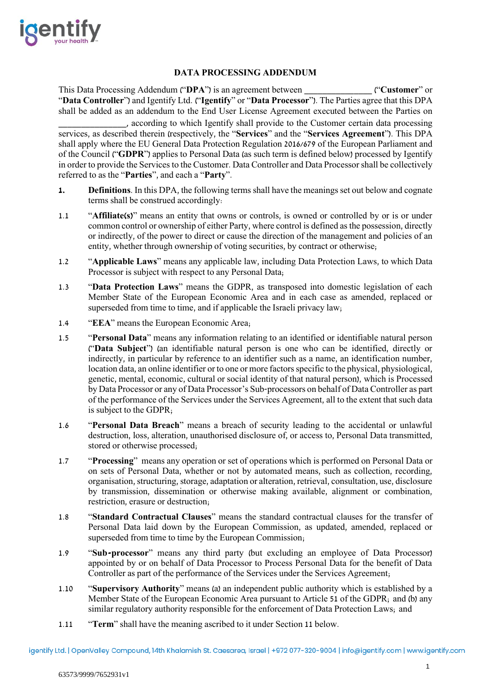

## **DATA PROCESSING ADDENDUM**

This Data Processing Addendum ("**DPA**") is an agreement between \_\_\_\_\_\_\_\_\_\_\_\_\_\_\_ ("**Customer**" or "**Data Controller**") and Igentify Ltd. ("**Igentify**" or "**Data Processor**"). The Parties agree that this DPA shall be added as an addendum to the End User License Agreement executed between the Parties on

\_\_\_\_\_\_\_\_\_\_\_\_\_\_\_, according to which Igentify shall provide to the Customer certain data processing services, as described therein (respectively, the "**Services**" and the "**Services Agreement**"). This DPA shall apply where the EU General Data Protection Regulation 2016/679 of the European Parliament and of the Council ("**GDPR**") applies to Personal Data (as such term is defined below) processed by Igentify in order to provide the Services to the Customer. Data Controller and Data Processor shall be collectively referred to as the "**Parties**", and each a "**Party**".

- **1. Definitions**. In this DPA, the following terms shall have the meanings set out below and cognate terms shall be construed accordingly:
- 1.1 "**Affiliate(s)**" means an entity that owns or controls, is owned or controlled by or is or under common control or ownership of either Party, where control is defined as the possession, directly or indirectly, of the power to direct or cause the direction of the management and policies of an entity, whether through ownership of voting securities, by contract or otherwise;
- 1.2 "**Applicable Laws**" means any applicable law, including Data Protection Laws, to which Data Processor is subject with respect to any Personal Data;
- 1.3 "**Data Protection Laws**" means the GDPR, as transposed into domestic legislation of each Member State of the European Economic Area and in each case as amended, replaced or superseded from time to time, and if applicable the Israeli privacy law;
- 1.4 "**EEA**" means the European Economic Area;
- 1.5 "**Personal Data**" means any information relating to an identified or identifiable natural person ("**Data Subject**") (an identifiable natural person is one who can be identified, directly or indirectly, in particular by reference to an identifier such as a name, an identification number, location data, an online identifier or to one or more factors specific to the physical, physiological, genetic, mental, economic, cultural or social identity of that natural person), which is Processed by Data Processor or any of Data Processor's Sub-processors on behalf of Data Controller as part of the performance of the Services under the Services Agreement, all to the extent that such data is subject to the GDPR;
- 1.6 "**Personal Data Breach**" means a breach of security leading to the accidental or unlawful destruction, loss, alteration, unauthorised disclosure of, or access to, Personal Data transmitted, stored or otherwise processed;
- 1.7 "**Processing**" means any operation or set of operations which is performed on Personal Data or on sets of Personal Data, whether or not by automated means, such as collection, recording, organisation, structuring, storage, adaptation or alteration, retrieval, consultation, use, disclosure by transmission, dissemination or otherwise making available, alignment or combination, restriction, erasure or destruction;
- 1.8 "**Standard Contractual Clauses**" means the standard contractual clauses for the transfer of Personal Data laid down by the European Commission, as updated, amended, replaced or superseded from time to time by the European Commission;
- 1.9 "**Sub-processor**" means any third party (but excluding an employee of Data Processor) appointed by or on behalf of Data Processor to Process Personal Data for the benefit of Data Controller as part of the performance of the Services under the Services Agreement;
- 1.10 "**Supervisory Authority**" means (a) an independent public authority which is established by a Member State of the European Economic Area pursuant to Article 51 of the GDPR; and (b) any similar regulatory authority responsible for the enforcement of Data Protection Laws; and
- 1.11 "**Term**" shall have the meaning ascribed to it under Sectio[n 11](#page-4-0) below.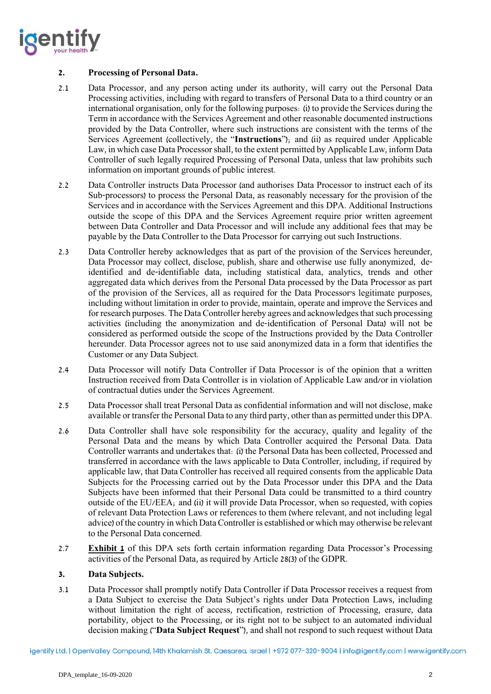

## **2. Processing of Personal Data.**

- 2.1 Data Processor, and any person acting under its authority, will carry out the Personal Data Processing activities, including with regard to transfers of Personal Data to a third country or an international organisation, only for the following purposes: (i) to provide the Services during the Term in accordance with the Services Agreement and other reasonable documented instructions provided by the Data Controller, where such instructions are consistent with the terms of the Services Agreement (collectively, the "**Instructions**"); and (ii) as required under Applicable Law, in which case Data Processor shall, to the extent permitted by Applicable Law, inform Data Controller of such legally required Processing of Personal Data, unless that law prohibits such information on important grounds of public interest.
- 2.2 Data Controller instructs Data Processor (and authorises Data Processor to instruct each of its Sub-processors) to process the Personal Data, as reasonably necessary for the provision of the Services and in accordance with the Services Agreement and this DPA. Additional Instructions outside the scope of this DPA and the Services Agreement require prior written agreement between Data Controller and Data Processor and will include any additional fees that may be payable by the Data Controller to the Data Processor for carrying out such Instructions.
- 2.3 Data Controller hereby acknowledges that as part of the provision of the Services hereunder, Data Processor may collect, disclose, publish, share and otherwise use fully anonymized, deidentified and de-identifiable data, including statistical data, analytics, trends and other aggregated data which derives from the Personal Data processed by the Data Processor as part of the provision of the Services, all as required for the Data Processor's legitimate purposes, including without limitation in order to provide, maintain, operate and improve the Services and for research purposes. The Data Controller hereby agrees and acknowledges that such processing activities (including the anonymization and de-identification of Personal Data) will not be considered as performed outside the scope of the Instructions provided by the Data Controller hereunder. Data Processor agrees not to use said anonymized data in a form that identifies the Customer or any Data Subject.
- 2.4 Data Processor will notify Data Controller if Data Processor is of the opinion that a written Instruction received from Data Controller is in violation of Applicable Law and/or in violation of contractual duties under the Services Agreement.
- 2.5 Data Processor shall treat Personal Data as confidential information and will not disclose, make available or transfer the Personal Data to any third party, other than as permitted under this DPA.
- 2.6 Data Controller shall have sole responsibility for the accuracy, quality and legality of the Personal Data and the means by which Data Controller acquired the Personal Data. Data Controller warrants and undertakes that: (i) the Personal Data has been collected, Processed and transferred in accordance with the laws applicable to Data Controller, including, if required by applicable law, that Data Controller has received all required consents from the applicable Data Subjects for the Processing carried out by the Data Processor under this DPA and the Data Subjects have been informed that their Personal Data could be transmitted to a third country outside of the EU/EEA; and (ii) it will provide Data Processor, when so requested, with copies of relevant Data Protection Laws or references to them (where relevant, and not including legal advice) of the country in which Data Controller is established or which may otherwise be relevant to the Personal Data concerned.
- 2.7 **Exhibit 1** of this DPA sets forth certain information regarding Data Processor's Processing activities of the Personal Data, as required by Article 28(3) of the GDPR.

# **3. Data Subjects.**

3.1 Data Processor shall promptly notify Data Controller if Data Processor receives a request from a Data Subject to exercise the Data Subject's rights under Data Protection Laws, including without limitation the right of access, rectification, restriction of Processing, erasure, data portability, object to the Processing, or its right not to be subject to an automated individual decision making ("**Data Subject Request**"), and shall not respond to such request without Data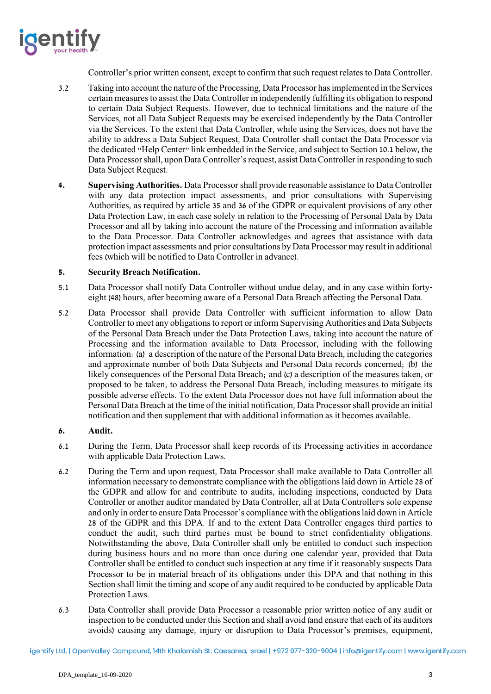

Controller's prior written consent, except to confirm that such request relates to Data Controller.

- 3.2 Taking into account the nature of the Processing, Data Processor has implemented in the Services certain measures to assist the Data Controller in independently fulfilling its obligation to respond to certain Data Subject Requests. However, due to technical limitations and the nature of the Services, not all Data Subject Requests may be exercised independently by the Data Controller via the Services. To the extent that Data Controller, while using the Services, does not have the ability to address a Data Subject Request, Data Controller shall contact the Data Processor via the dedicated "Help Center" link embedded in the Service, and subject to Sectio[n 10.1](#page-4-1) below, the Data Processor shall, upon Data Controller's request, assist Data Controller in responding to such Data Subject Request.
- **4. Supervising Authorities.** Data Processor shall provide reasonable assistance to Data Controller with any data protection impact assessments, and prior consultations with Supervising Authorities, as required by article 35 and 36 of the GDPR or equivalent provisions of any other Data Protection Law, in each case solely in relation to the Processing of Personal Data by Data Processor and all by taking into account the nature of the Processing and information available to the Data Processor. Data Controller acknowledges and agrees that assistance with data protection impact assessments and prior consultations by Data Processor may result in additional fees (which will be notified to Data Controller in advance).

#### **5. Security Breach Notification.**

- 5.1 Data Processor shall notify Data Controller without undue delay, and in any case within fortyeight (48) hours, after becoming aware of a Personal Data Breach affecting the Personal Data.
- 5.2 Data Processor shall provide Data Controller with sufficient information to allow Data Controller to meet any obligations to report or inform Supervising Authorities and Data Subjects of the Personal Data Breach under the Data Protection Laws, taking into account the nature of Processing and the information available to Data Processor, including with the following information:(a) a description of the nature of the Personal Data Breach, including the categories and approximate number of both Data Subjects and Personal Data records concerned; (b) the likely consequences of the Personal Data Breach; and (c) a description of the measures taken, or proposed to be taken, to address the Personal Data Breach, including measures to mitigate its possible adverse effects. To the extent Data Processor does not have full information about the Personal Data Breach at the time of the initial notification, Data Processor shall provide an initial notification and then supplement that with additional information as it becomes available.

## **6. Audit.**

- 6.1 During the Term, Data Processor shall keep records of its Processing activities in accordance with applicable Data Protection Laws.
- 6.2 During the Term and upon request, Data Processor shall make available to Data Controller all information necessary to demonstrate compliance with the obligations laid down in Article 28 of the GDPR and allow for and contribute to audits, including inspections, conducted by Data Controller or another auditor mandated by Data Controller, all at Data Controller's sole expense and only in order to ensure Data Processor's compliance with the obligations laid down in Article 28 of the GDPR and this DPA. If and to the extent Data Controller engages third parties to conduct the audit, such third parties must be bound to strict confidentiality obligations. Notwithstanding the above, Data Controller shall only be entitled to conduct such inspection during business hours and no more than once during one calendar year, provided that Data Controller shall be entitled to conduct such inspection at any time if it reasonably suspects Data Processor to be in material breach of its obligations under this DPA and that nothing in this Section shall limit the timing and scope of any audit required to be conducted by applicable Data Protection Laws.
- 6.3 Data Controller shall provide Data Processor a reasonable prior written notice of any audit or inspection to be conducted under this Section and shall avoid (and ensure that each of its auditors avoids) causing any damage, injury or disruption to Data Processor's premises, equipment,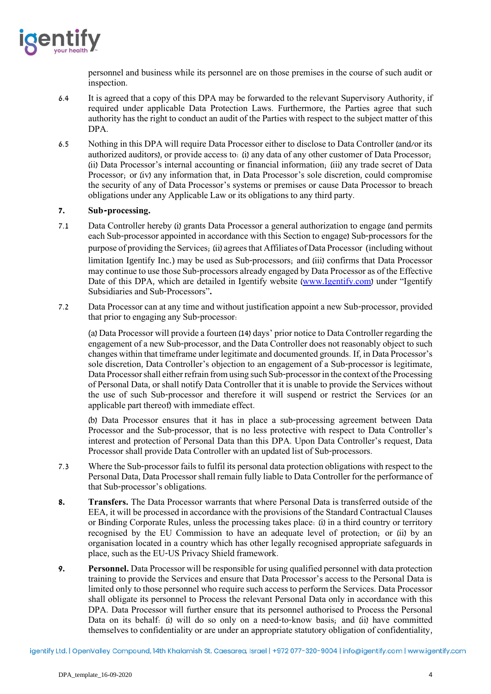

personnel and business while its personnel are on those premises in the course of such audit or inspection.

- 6.4 It is agreed that a copy of this DPA may be forwarded to the relevant Supervisory Authority, if required under applicable Data Protection Laws. Furthermore, the Parties agree that such authority has the right to conduct an audit of the Parties with respect to the subject matter of this DPA.
- 6.5 Nothing in this DPA will require Data Processor either to disclose to Data Controller (and/or its authorized auditors), or provide access to: (i) any data of any other customer of Data Processor; (ii) Data Processor's internal accounting or financial information; (iii) any trade secret of Data Processor; or (iv) any information that, in Data Processor's sole discretion, could compromise the security of any of Data Processor's systems or premises or cause Data Processor to breach obligations under any Applicable Law or its obligations to any third party.

#### **7. Sub-processing.**

- 7.1 Data Controller hereby (i) grants Data Processor a general authorization to engage (and permits each Sub-processor appointed in accordance with this Section to engage) Sub-processors for the purpose of providing the Services;(ii) agrees that Affiliates of Data Processor (including without limitation Igentify Inc.) may be used as Sub-processors; and (iii) confirms that Data Processor may continue to use those Sub-processors already engaged by Data Processor as of the Effective Date of this DPA, which are detailed in Igentify website [\(www.Igentify.com\)](http://www.igentify.com/) under "Igentify Subsidiaries and Sub-Processors"**.**
- 7.2 Data Processor can at any time and without justification appoint a new Sub-processor, provided that prior to engaging any Sub-processor:

(a) Data Processor will provide a fourteen (14) days' prior notice to Data Controller regarding the engagement of a new Sub-processor, and the Data Controller does not reasonably object to such changes within that timeframe under legitimate and documented grounds. If, in Data Processor's sole discretion, Data Controller's objection to an engagement of a Sub-processor is legitimate, Data Processor shall either refrain from using such Sub-processor in the context of the Processing of Personal Data, or shall notify Data Controller that it is unable to provide the Services without the use of such Sub-processor and therefore it will suspend or restrict the Services (or an applicable part thereof) with immediate effect.

(b) Data Processor ensures that it has in place a sub-processing agreement between Data Processor and the Sub-processor, that is no less protective with respect to Data Controller's interest and protection of Personal Data than this DPA. Upon Data Controller's request, Data Processor shall provide Data Controller with an updated list of Sub-processors.

- 7.3 Where the Sub-processor fails to fulfil its personal data protection obligations with respect to the Personal Data, Data Processor shall remain fully liable to Data Controller for the performance of that Sub-processor's obligations.
- **8. Transfers.** The Data Processor warrants that where Personal Data is transferred outside of the EEA, it will be processed in accordance with the provisions of the Standard Contractual Clauses or Binding Corporate Rules, unless the processing takes place: (i) in a third country or territory recognised by the EU Commission to have an adequate level of protection; or (ii) by an organisation located in a country which has other legally recognised appropriate safeguards in place, such as the EU-US Privacy Shield framework.
- **9. Personnel.** Data Processor will be responsible for using qualified personnel with data protection training to provide the Services and ensure that Data Processor's access to the Personal Data is limited only to those personnel who require such access to perform the Services. Data Processor shall obligate its personnel to Process the relevant Personal Data only in accordance with this DPA. Data Processor will further ensure that its personnel authorised to Process the Personal Data on its behalf: (i) will do so only on a need-to-know basis; and (ii) have committed themselves to confidentiality or are under an appropriate statutory obligation of confidentiality,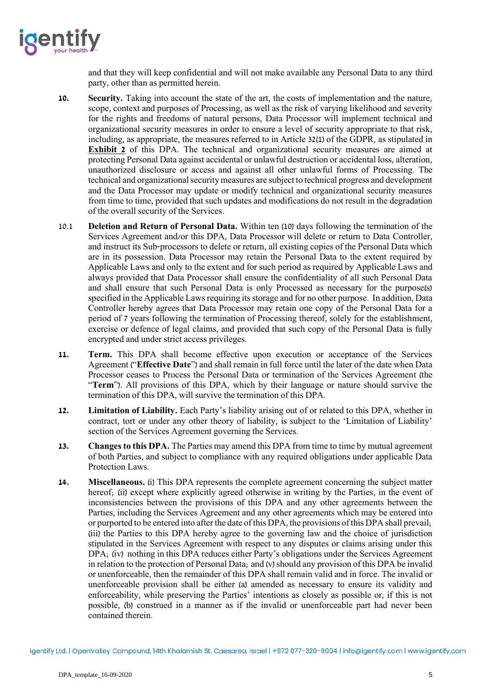

and that they will keep confidential and will not make available any Personal Data to any third party, other than as permitted herein.

- **10. Security.** Taking into account the state of the art, the costs of implementation and the nature, scope, context and purposes of Processing, as well as the risk of varying likelihood and severity for the rights and freedoms of natural persons, Data Processor will implement technical and organizational security measures in order to ensure a level of security appropriate to that risk, including, as appropriate, the measures referred to in Article 32(1) of the GDPR, as stipulated in **Exhibit 2** of this DPA. The technical and organizational security measures are aimed at protecting Personal Data against accidental or unlawful destruction or accidental loss, alteration, unauthorized disclosure or access and against all other unlawful forms of Processing. The technical and organizational security measures are subject to technical progress and development and the Data Processor may update or modify technical and organizational security measures from time to time, provided that such updates and modifications do not result in the degradation of the overall security of the Services.
- <span id="page-4-1"></span>10.1 **Deletion and Return of Personal Data.** Within ten (10) days following the termination of the Services Agreement and/or this DPA, Data Processor will delete or return to Data Controller, and instruct its Sub-processors to delete or return, all existing copies of the Personal Data which are in its possession. Data Processor may retain the Personal Data to the extent required by Applicable Laws and only to the extent and for such period as required by Applicable Laws and always provided that Data Processor shall ensure the confidentiality of all such Personal Data and shall ensure that such Personal Data is only Processed as necessary for the purpose(s) specified in the Applicable Laws requiring its storage and for no other purpose. In addition, Data Controller hereby agrees that Data Processor may retain one copy of the Personal Data for a period of 7 years following the termination of Processing thereof, solely for the establishment, exercise or defence of legal claims, and provided that such copy of the Personal Data is fully encrypted and under strict access privileges.
- <span id="page-4-0"></span>**11. Term.** This DPA shall become effective upon execution or acceptance of the Services Agreement ("**Effective Date**") and shall remain in full force until the later of the date when Data Processor ceases to Process the Personal Data or termination of the Services Agreement (the "**Term**"). All provisions of this DPA, which by their language or nature should survive the termination of this DPA, will survive the termination of this DPA.
- **12. Limitation of Liability.** Each Party's liability arising out of or related to this DPA, whether in contract, tort or under any other theory of liability, is subject to the 'Limitation of Liability' section of the Services Agreement governing the Services.
- **13. Changes to this DPA.** The Parties may amend this DPA from time to time by mutual agreement of both Parties, and subject to compliance with any required obligations under applicable Data Protection Laws.
- **14. Miscellaneous.** (i) This DPA represents the complete agreement concerning the subject matter hereof; (ii) except where explicitly agreed otherwise in writing by the Parties, in the event of inconsistencies between the provisions of this DPA and any other agreements between the Parties, including the Services Agreement and any other agreements which may be entered into or purported to be entered into after the date of this DPA, the provisions of this DPA shall prevail; (iii) the Parties to this DPA hereby agree to the governing law and the choice of jurisdiction stipulated in the Services Agreement with respect to any disputes or claims arising under this DPA; (iv) nothing in this DPA reduces either Party's obligations under the Services Agreement in relation to the protection of Personal Data; and (v) should any provision of this DPA be invalid or unenforceable, then the remainder of this DPA shall remain valid and in force. The invalid or unenforceable provision shall be either (a) amended as necessary to ensure its validity and enforceability, while preserving the Parties' intentions as closely as possible or, if this is not possible, (b) construed in a manner as if the invalid or unenforceable part had never been contained therein.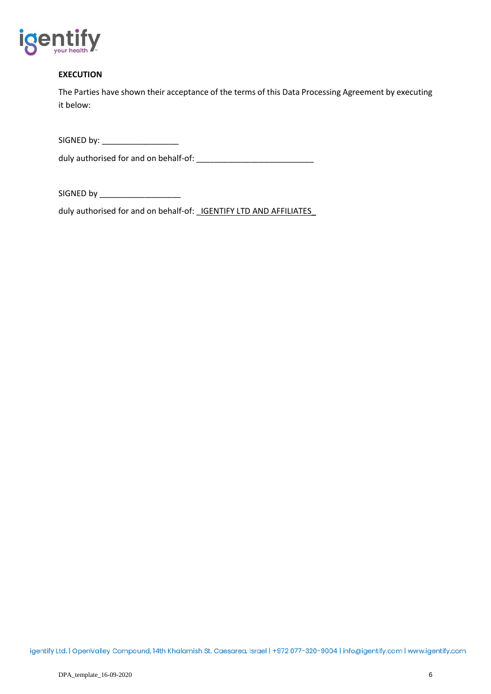

# **EXECUTION**

The Parties have shown their acceptance of the terms of this Data Processing Agreement by executing it below:

SIGNED by: \_\_\_\_\_\_\_\_\_\_\_\_\_\_\_\_\_

duly authorised for and on behalf-of: \_\_\_\_\_\_\_\_\_\_\_\_\_\_\_\_\_\_\_\_\_\_\_\_\_\_

SIGNED by \_\_\_\_\_\_\_\_\_\_\_\_\_\_\_\_\_\_

duly authorised for and on behalf-of: \_IGENTIFY LTD AND AFFILIATES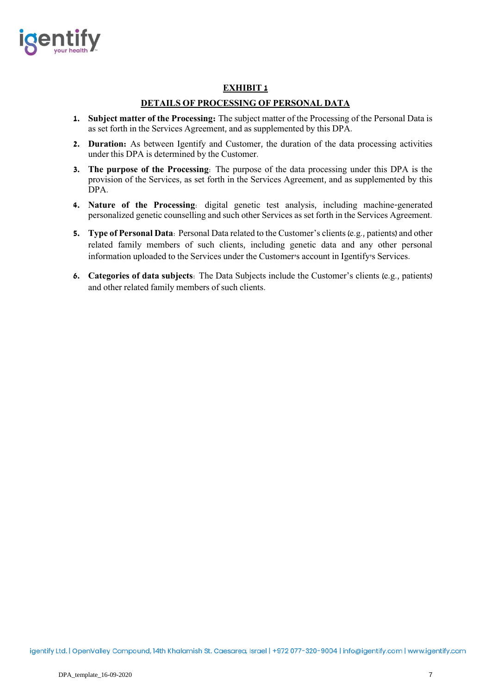

## **EXHIBIT 1**

# **DETAILS OF PROCESSING OF PERSONAL DATA**

- **1. Subject matter of the Processing:** The subject matter of the Processing of the Personal Data is as set forth in the Services Agreement, and as supplemented by this DPA.
- **2. Duration:** As between Igentify and Customer, the duration of the data processing activities under this DPA is determined by the Customer.
- **3. The purpose of the Processing**: The purpose of the data processing under this DPA is the provision of the Services, as set forth in the Services Agreement, and as supplemented by this DPA.
- **4. Nature of the Processing**: digital genetic test analysis, including machine-generated personalized genetic counselling and such other Services as set forth in the Services Agreement.
- **5. Type of Personal Data**: Personal Data related to the Customer's clients(e.g., patients) and other related family members of such clients, including genetic data and any other personal information uploaded to the Services under the Customer's account in Igentify's Services.
- **6. Categories of data subjects**: The Data Subjects include the Customer's clients (e.g., patients) and other related family members of such clients.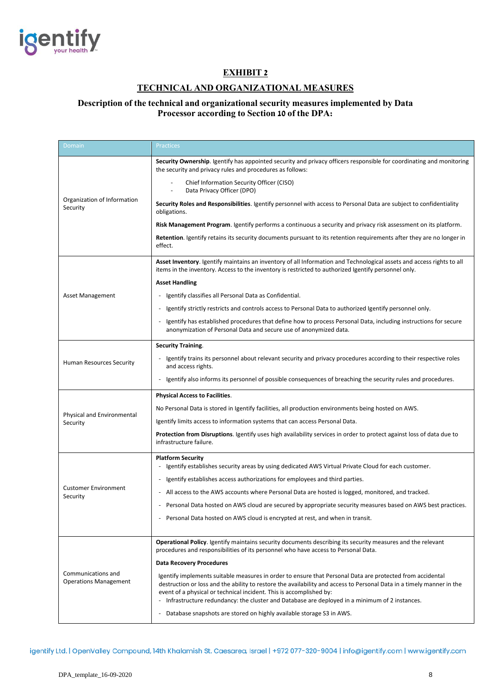

# **EXHIBIT 2**

# **TECHNICAL AND ORGANIZATIONAL MEASURES**

## **Description of the technical and organizational security measures implemented by Data Processor according to Section 10 of the DPA:**

| Domain                                             | <b>Practices</b>                                                                                                                                                                                                                                                                                                                                                                                             |
|----------------------------------------------------|--------------------------------------------------------------------------------------------------------------------------------------------------------------------------------------------------------------------------------------------------------------------------------------------------------------------------------------------------------------------------------------------------------------|
| Organization of Information<br>Security            | Security Ownership. Igentify has appointed security and privacy officers responsible for coordinating and monitoring<br>the security and privacy rules and procedures as follows:                                                                                                                                                                                                                            |
|                                                    | Chief Information Security Officer (CISO)<br>Data Privacy Officer (DPO)                                                                                                                                                                                                                                                                                                                                      |
|                                                    | Security Roles and Responsibilities. Igentify personnel with access to Personal Data are subject to confidentiality<br>obligations.                                                                                                                                                                                                                                                                          |
|                                                    | Risk Management Program. Igentify performs a continuous a security and privacy risk assessment on its platform.                                                                                                                                                                                                                                                                                              |
|                                                    | Retention. Igentify retains its security documents pursuant to its retention requirements after they are no longer in<br>effect.                                                                                                                                                                                                                                                                             |
| <b>Asset Management</b>                            | Asset Inventory. Igentify maintains an inventory of all Information and Technological assets and access rights to all<br>items in the inventory. Access to the inventory is restricted to authorized Igentify personnel only.                                                                                                                                                                                |
|                                                    | <b>Asset Handling</b>                                                                                                                                                                                                                                                                                                                                                                                        |
|                                                    | Igentify classifies all Personal Data as Confidential.<br>$\overline{\phantom{a}}$                                                                                                                                                                                                                                                                                                                           |
|                                                    | Igentify strictly restricts and controls access to Personal Data to authorized Igentify personnel only.                                                                                                                                                                                                                                                                                                      |
|                                                    | Igentify has established procedures that define how to process Personal Data, including instructions for secure<br>anonymization of Personal Data and secure use of anonymized data.                                                                                                                                                                                                                         |
| Human Resources Security                           | <b>Security Training.</b>                                                                                                                                                                                                                                                                                                                                                                                    |
|                                                    | Igentify trains its personnel about relevant security and privacy procedures according to their respective roles<br>and access rights.                                                                                                                                                                                                                                                                       |
|                                                    | Igentify also informs its personnel of possible consequences of breaching the security rules and procedures.                                                                                                                                                                                                                                                                                                 |
| <b>Physical and Environmental</b>                  | <b>Physical Access to Facilities.</b>                                                                                                                                                                                                                                                                                                                                                                        |
|                                                    | No Personal Data is stored in Igentify facilities, all production environments being hosted on AWS.                                                                                                                                                                                                                                                                                                          |
| Security                                           | Igentify limits access to information systems that can access Personal Data.                                                                                                                                                                                                                                                                                                                                 |
|                                                    | Protection from Disruptions. Igentify uses high availability services in order to protect against loss of data due to<br>infrastructure failure.                                                                                                                                                                                                                                                             |
| <b>Customer Environment</b><br>Security            | <b>Platform Security</b>                                                                                                                                                                                                                                                                                                                                                                                     |
|                                                    | - Igentify establishes security areas by using dedicated AWS Virtual Private Cloud for each customer.                                                                                                                                                                                                                                                                                                        |
|                                                    | Igentify establishes access authorizations for employees and third parties.                                                                                                                                                                                                                                                                                                                                  |
|                                                    | - All access to the AWS accounts where Personal Data are hosted is logged, monitored, and tracked.                                                                                                                                                                                                                                                                                                           |
|                                                    | - Personal Data hosted on AWS cloud are secured by appropriate security measures based on AWS best practices.                                                                                                                                                                                                                                                                                                |
|                                                    | - Personal Data hosted on AWS cloud is encrypted at rest, and when in transit.                                                                                                                                                                                                                                                                                                                               |
| Communications and<br><b>Operations Management</b> | <b>Operational Policy.</b> Igentify maintains security documents describing its security measures and the relevant<br>procedures and responsibilities of its personnel who have access to Personal Data.                                                                                                                                                                                                     |
|                                                    | <b>Data Recovery Procedures</b>                                                                                                                                                                                                                                                                                                                                                                              |
|                                                    | Igentify implements suitable measures in order to ensure that Personal Data are protected from accidental<br>destruction or loss and the ability to restore the availability and access to Personal Data in a timely manner in the<br>event of a physical or technical incident. This is accomplished by:<br>- Infrastructure redundancy: the cluster and Database are deployed in a minimum of 2 instances. |
|                                                    | - Database snapshots are stored on highly available storage S3 in AWS.                                                                                                                                                                                                                                                                                                                                       |